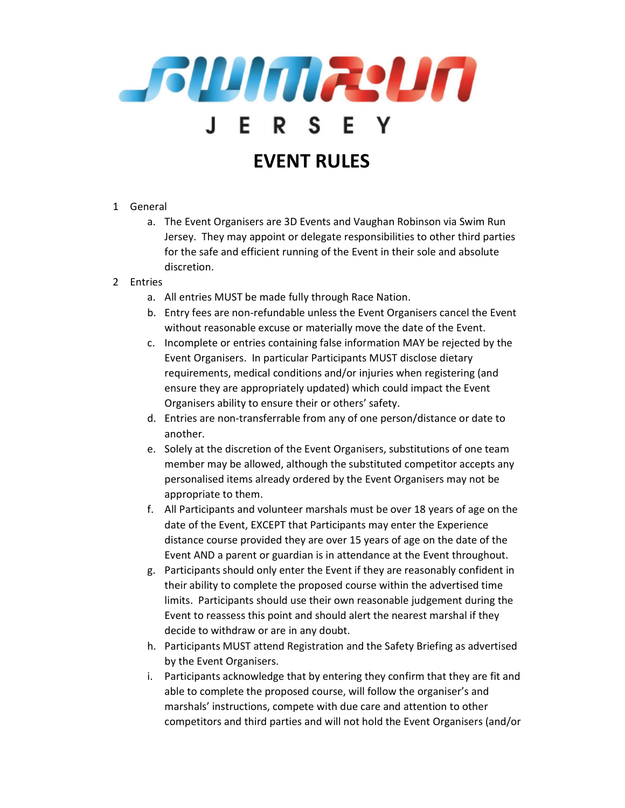

- 1 General
	- a. The Event Organisers are 3D Events and Vaughan Robinson via Swim Run Jersey. They may appoint or delegate responsibilities to other third parties for the safe and efficient running of the Event in their sole and absolute discretion.
- 2 Entries
	- a. All entries MUST be made fully through Race Nation.
	- b. Entry fees are non-refundable unless the Event Organisers cancel the Event without reasonable excuse or materially move the date of the Event.
	- c. Incomplete or entries containing false information MAY be rejected by the Event Organisers. In particular Participants MUST disclose dietary requirements, medical conditions and/or injuries when registering (and ensure they are appropriately updated) which could impact the Event Organisers ability to ensure their or others' safety.
	- d. Entries are non-transferrable from any of one person/distance or date to another.
	- e. Solely at the discretion of the Event Organisers, substitutions of one team member may be allowed, although the substituted competitor accepts any personalised items already ordered by the Event Organisers may not be appropriate to them.
	- f. All Participants and volunteer marshals must be over 18 years of age on the date of the Event, EXCEPT that Participants may enter the Experience distance course provided they are over 15 years of age on the date of the Event AND a parent or guardian is in attendance at the Event throughout.
	- g. Participants should only enter the Event if they are reasonably confident in their ability to complete the proposed course within the advertised time limits. Participants should use their own reasonable judgement during the Event to reassess this point and should alert the nearest marshal if they decide to withdraw or are in any doubt.
	- h. Participants MUST attend Registration and the Safety Briefing as advertised by the Event Organisers.
	- i. Participants acknowledge that by entering they confirm that they are fit and able to complete the proposed course, will follow the organiser's and marshals' instructions, compete with due care and attention to other competitors and third parties and will not hold the Event Organisers (and/or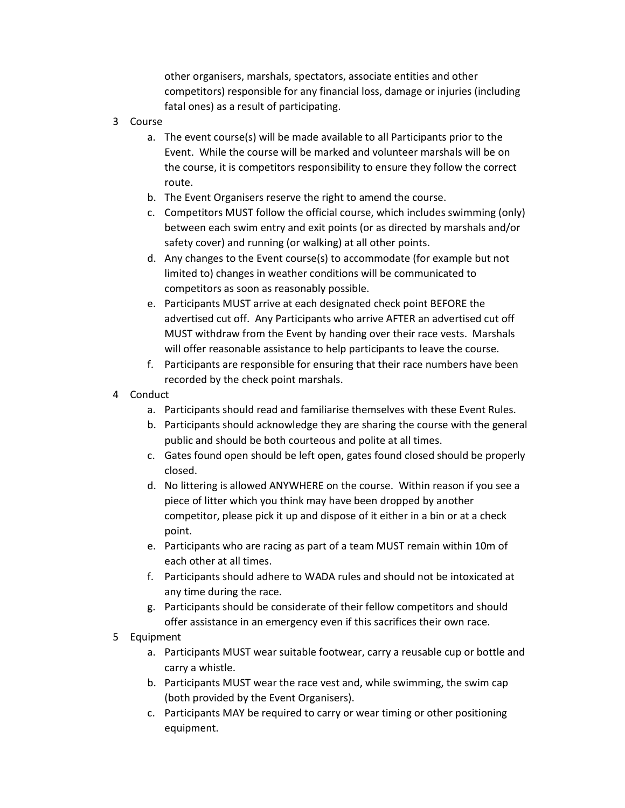other organisers, marshals, spectators, associate entities and other competitors) responsible for any financial loss, damage or injuries (including fatal ones) as a result of participating.

- 3 Course
	- a. The event course(s) will be made available to all Participants prior to the Event. While the course will be marked and volunteer marshals will be on the course, it is competitors responsibility to ensure they follow the correct route.
	- b. The Event Organisers reserve the right to amend the course.
	- c. Competitors MUST follow the official course, which includes swimming (only) between each swim entry and exit points (or as directed by marshals and/or safety cover) and running (or walking) at all other points.
	- d. Any changes to the Event course(s) to accommodate (for example but not limited to) changes in weather conditions will be communicated to competitors as soon as reasonably possible.
	- e. Participants MUST arrive at each designated check point BEFORE the advertised cut off. Any Participants who arrive AFTER an advertised cut off MUST withdraw from the Event by handing over their race vests. Marshals will offer reasonable assistance to help participants to leave the course.
	- f. Participants are responsible for ensuring that their race numbers have been recorded by the check point marshals.
- 4 Conduct
	- a. Participants should read and familiarise themselves with these Event Rules.
	- b. Participants should acknowledge they are sharing the course with the general public and should be both courteous and polite at all times.
	- c. Gates found open should be left open, gates found closed should be properly closed.
	- d. No littering is allowed ANYWHERE on the course. Within reason if you see a piece of litter which you think may have been dropped by another competitor, please pick it up and dispose of it either in a bin or at a check point.
	- e. Participants who are racing as part of a team MUST remain within 10m of each other at all times.
	- f. Participants should adhere to WADA rules and should not be intoxicated at any time during the race.
	- g. Participants should be considerate of their fellow competitors and should offer assistance in an emergency even if this sacrifices their own race.
- 5 Equipment
	- a. Participants MUST wear suitable footwear, carry a reusable cup or bottle and carry a whistle.
	- b. Participants MUST wear the race vest and, while swimming, the swim cap (both provided by the Event Organisers).
	- c. Participants MAY be required to carry or wear timing or other positioning equipment.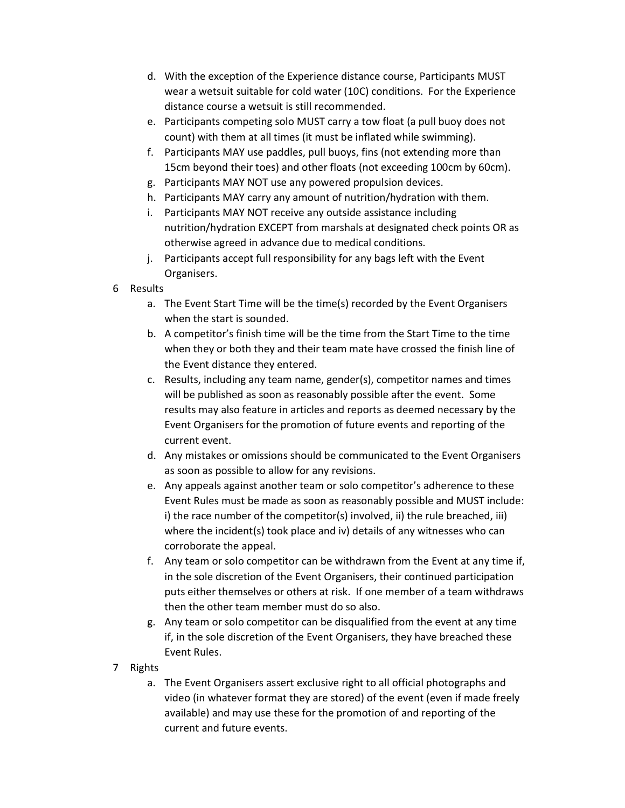- d. With the exception of the Experience distance course, Participants MUST wear a wetsuit suitable for cold water (10C) conditions. For the Experience distance course a wetsuit is still recommended.
- e. Participants competing solo MUST carry a tow float (a pull buoy does not count) with them at all times (it must be inflated while swimming).
- f. Participants MAY use paddles, pull buoys, fins (not extending more than 15cm beyond their toes) and other floats (not exceeding 100cm by 60cm).
- g. Participants MAY NOT use any powered propulsion devices.
- h. Participants MAY carry any amount of nutrition/hydration with them.
- i. Participants MAY NOT receive any outside assistance including nutrition/hydration EXCEPT from marshals at designated check points OR as otherwise agreed in advance due to medical conditions.
- j. Participants accept full responsibility for any bags left with the Event Organisers.
- 6 Results
	- a. The Event Start Time will be the time(s) recorded by the Event Organisers when the start is sounded.
	- b. A competitor's finish time will be the time from the Start Time to the time when they or both they and their team mate have crossed the finish line of the Event distance they entered.
	- c. Results, including any team name, gender(s), competitor names and times will be published as soon as reasonably possible after the event. Some results may also feature in articles and reports as deemed necessary by the Event Organisers for the promotion of future events and reporting of the current event.
	- d. Any mistakes or omissions should be communicated to the Event Organisers as soon as possible to allow for any revisions.
	- e. Any appeals against another team or solo competitor's adherence to these Event Rules must be made as soon as reasonably possible and MUST include: i) the race number of the competitor(s) involved, ii) the rule breached, iii) where the incident(s) took place and iv) details of any witnesses who can corroborate the appeal.
	- f. Any team or solo competitor can be withdrawn from the Event at any time if, in the sole discretion of the Event Organisers, their continued participation puts either themselves or others at risk. If one member of a team withdraws then the other team member must do so also.
	- g. Any team or solo competitor can be disqualified from the event at any time if, in the sole discretion of the Event Organisers, they have breached these Event Rules.
- 7 Rights
	- a. The Event Organisers assert exclusive right to all official photographs and video (in whatever format they are stored) of the event (even if made freely available) and may use these for the promotion of and reporting of the current and future events.